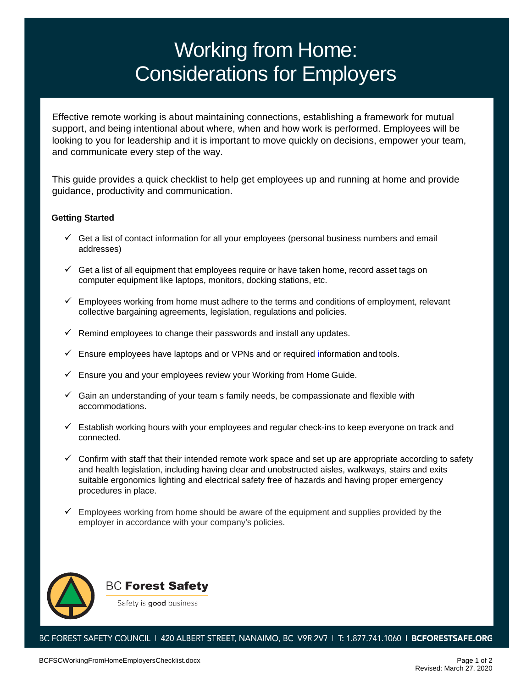# Working from Home: Considerations for Employers

Effective remote working is about maintaining connections, establishing a framework for mutual support, and being intentional about where, when and how work is performed. Employees will be looking to you for leadership and it is important to move quickly on decisions, empower your team, and communicate every step of the way.

This guide provides a quick checklist to help get employees up and running at home and provide guidance, productivity and communication.

### **Getting Started**

- $\checkmark$  Get a list of contact information for all your employees (personal business numbers and email addresses)
- $\checkmark$  Get a list of all equipment that employees require or have taken home, record asset tags on computer equipment like laptops, monitors, docking stations, etc.
- $\checkmark$  Employees working from home must adhere to the terms and conditions of employment, relevant collective bargaining agreements, legislation, regulations and policies.
- $\checkmark$  Remind employees to change their passwords and install any updates.
- $\checkmark$  Ensure employees have laptops and or VPNs and or required information and tools.
- $\checkmark$  Ensure you and your employees review your Working from Home Guide.
- $\checkmark$  Gain an understanding of your team s family needs, be compassionate and flexible with accommodations.
- $\checkmark$  Establish working hours with your employees and regular check-ins to keep everyone on track and connected.
- $\checkmark$  Confirm with staff that their intended remote work space and set up are appropriate according to safety and health legislation, including having clear and unobstructed aisles, walkways, stairs and exits suitable ergonomics lighting and electrical safety free of hazards and having proper emergency procedures in place.
- Employees working from home should be aware of the equipment and supplies provided by the employer in accordance with your company's policies.



**BC Forest Safety** 

Safety is good business

BC FOREST SAFETY COUNCIL 1 420 ALBERT STREET, NANAIMO, BC V9R 2V7 1 T: 1.877.741.1060 1 BCFORESTSAFE.ORG